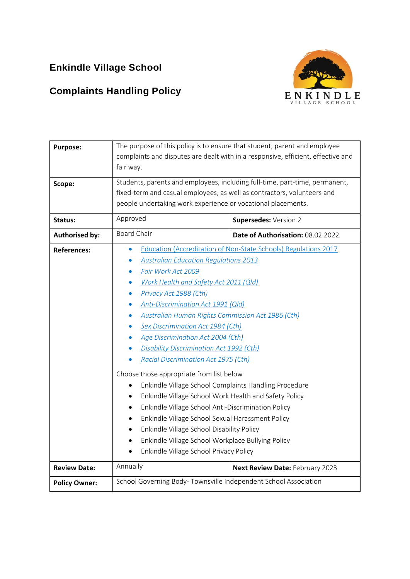# **Enkindle Village School**

# **Complaints Handling Policy**



| <b>Purpose:</b>       | The purpose of this policy is to ensure that student, parent and employee                                                                                                                                                                                                                                                |                                   |  |  |
|-----------------------|--------------------------------------------------------------------------------------------------------------------------------------------------------------------------------------------------------------------------------------------------------------------------------------------------------------------------|-----------------------------------|--|--|
|                       | complaints and disputes are dealt with in a responsive, efficient, effective and                                                                                                                                                                                                                                         |                                   |  |  |
|                       | fair way.                                                                                                                                                                                                                                                                                                                |                                   |  |  |
| Scope:                | Students, parents and employees, including full-time, part-time, permanent,                                                                                                                                                                                                                                              |                                   |  |  |
|                       | fixed-term and casual employees, as well as contractors, volunteers and                                                                                                                                                                                                                                                  |                                   |  |  |
|                       | people undertaking work experience or vocational placements.                                                                                                                                                                                                                                                             |                                   |  |  |
| Status:               | Approved                                                                                                                                                                                                                                                                                                                 | Supersedes: Version 2             |  |  |
| <b>Authorised by:</b> | <b>Board Chair</b>                                                                                                                                                                                                                                                                                                       | Date of Authorisation: 08.02.2022 |  |  |
| <b>References:</b>    | Education (Accreditation of Non-State Schools) Regulations 2017<br>$\bullet$                                                                                                                                                                                                                                             |                                   |  |  |
|                       | <b>Australian Education Regulations 2013</b><br>Fair Work Act 2009<br>Work Health and Safety Act 2011 (Qld)<br>Privacy Act 1988 (Cth)<br>Anti-Discrimination Act 1991 (Qld)<br><b>Australian Human Rights Commission Act 1986 (Cth)</b><br><b>Sex Discrimination Act 1984 (Cth)</b><br>Age Discrimination Act 2004 (Cth) |                                   |  |  |
|                       |                                                                                                                                                                                                                                                                                                                          |                                   |  |  |
|                       |                                                                                                                                                                                                                                                                                                                          |                                   |  |  |
|                       |                                                                                                                                                                                                                                                                                                                          |                                   |  |  |
|                       |                                                                                                                                                                                                                                                                                                                          |                                   |  |  |
|                       |                                                                                                                                                                                                                                                                                                                          |                                   |  |  |
|                       |                                                                                                                                                                                                                                                                                                                          |                                   |  |  |
|                       |                                                                                                                                                                                                                                                                                                                          |                                   |  |  |
|                       | <b>Disability Discrimination Act 1992 (Cth)</b>                                                                                                                                                                                                                                                                          |                                   |  |  |
|                       | Racial Discrimination Act 1975 (Cth)                                                                                                                                                                                                                                                                                     |                                   |  |  |
|                       | Choose those appropriate from list below<br>Enkindle Village School Complaints Handling Procedure<br>$\bullet$<br>Enkindle Village School Work Health and Safety Policy<br>$\bullet$<br>Enkindle Village School Anti-Discrimination Policy<br>$\bullet$                                                                  |                                   |  |  |
|                       |                                                                                                                                                                                                                                                                                                                          |                                   |  |  |
|                       |                                                                                                                                                                                                                                                                                                                          |                                   |  |  |
|                       |                                                                                                                                                                                                                                                                                                                          |                                   |  |  |
|                       | Enkindle Village School Sexual Harassment Policy<br>٠                                                                                                                                                                                                                                                                    |                                   |  |  |
|                       | Enkindle Village School Disability Policy<br>$\bullet$<br>Enkindle Village School Workplace Bullying Policy<br>$\bullet$<br>Enkindle Village School Privacy Policy<br>$\bullet$                                                                                                                                          |                                   |  |  |
|                       |                                                                                                                                                                                                                                                                                                                          |                                   |  |  |
|                       |                                                                                                                                                                                                                                                                                                                          |                                   |  |  |
| <b>Review Date:</b>   | Annually                                                                                                                                                                                                                                                                                                                 | Next Review Date: February 2023   |  |  |
| <b>Policy Owner:</b>  | School Governing Body-Townsville Independent School Association                                                                                                                                                                                                                                                          |                                   |  |  |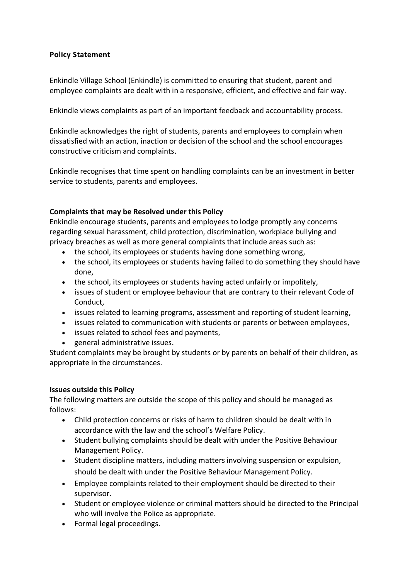# **Policy Statement**

Enkindle Village School (Enkindle) is committed to ensuring that student, parent and employee complaints are dealt with in a responsive, efficient, and effective and fair way.

Enkindle views complaints as part of an important feedback and accountability process.

Enkindle acknowledges the right of students, parents and employees to complain when dissatisfied with an action, inaction or decision of the school and the school encourages constructive criticism and complaints.

Enkindle recognises that time spent on handling complaints can be an investment in better service to students, parents and employees.

#### **Complaints that may be Resolved under this Policy**

Enkindle encourage students, parents and employees to lodge promptly any concerns regarding sexual harassment, child protection, discrimination, workplace bullying and privacy breaches as well as more general complaints that include areas such as:

- the school, its employees or students having done something wrong,
- the school, its employees or students having failed to do something they should have done,
- the school, its employees or students having acted unfairly or impolitely,
- issues of student or employee behaviour that are contrary to their relevant Code of Conduct,
- issues related to learning programs, assessment and reporting of student learning,
- issues related to communication with students or parents or between employees,
- issues related to school fees and payments,
- general administrative issues.

Student complaints may be brought by students or by parents on behalf of their children, as appropriate in the circumstances.

#### **Issues outside this Policy**

The following matters are outside the scope of this policy and should be managed as follows:

- Child protection concerns or risks of harm to children should be dealt with in accordance with the law and the school's Welfare Policy.
- Student bullying complaints should be dealt with under the Positive Behaviour Management Policy.
- Student discipline matters, including matters involving suspension or expulsion, should be dealt with under the Positive Behaviour Management Policy.
- Employee complaints related to their employment should be directed to their supervisor.
- Student or employee violence or criminal matters should be directed to the Principal who will involve the Police as appropriate.
- Formal legal proceedings.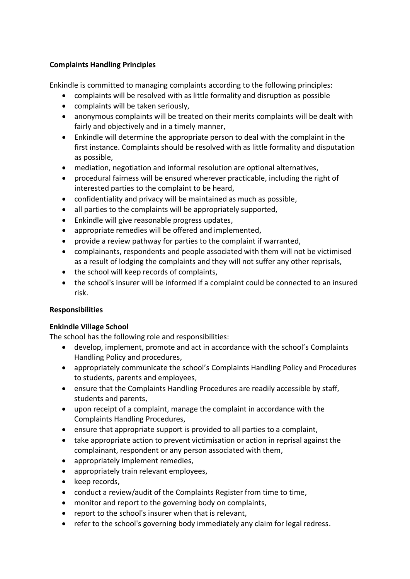# **Complaints Handling Principles**

Enkindle is committed to managing complaints according to the following principles:

- complaints will be resolved with as little formality and disruption as possible
- complaints will be taken seriously,
- anonymous complaints will be treated on their merits complaints will be dealt with fairly and objectively and in a timely manner,
- Enkindle will determine the appropriate person to deal with the complaint in the first instance. Complaints should be resolved with as little formality and disputation as possible,
- mediation, negotiation and informal resolution are optional alternatives,
- procedural fairness will be ensured wherever practicable, including the right of interested parties to the complaint to be heard,
- confidentiality and privacy will be maintained as much as possible,
- all parties to the complaints will be appropriately supported,
- Enkindle will give reasonable progress updates,
- appropriate remedies will be offered and implemented,
- provide a review pathway for parties to the complaint if warranted,
- complainants, respondents and people associated with them will not be victimised as a result of lodging the complaints and they will not suffer any other reprisals,
- the school will keep records of complaints,
- the school's insurer will be informed if a complaint could be connected to an insured risk.

## **Responsibilities**

## **Enkindle Village School**

The school has the following role and responsibilities:

- develop, implement, promote and act in accordance with the school's Complaints Handling Policy and procedures,
- appropriately communicate the school's Complaints Handling Policy and Procedures to students, parents and employees,
- ensure that the Complaints Handling Procedures are readily accessible by staff, students and parents,
- upon receipt of a complaint, manage the complaint in accordance with the Complaints Handling Procedures,
- ensure that appropriate support is provided to all parties to a complaint,
- take appropriate action to prevent victimisation or action in reprisal against the complainant, respondent or any person associated with them,
- appropriately implement remedies,
- appropriately train relevant employees,
- keep records,
- conduct a review/audit of the Complaints Register from time to time,
- monitor and report to the governing body on complaints,
- report to the school's insurer when that is relevant,
- refer to the school's governing body immediately any claim for legal redress.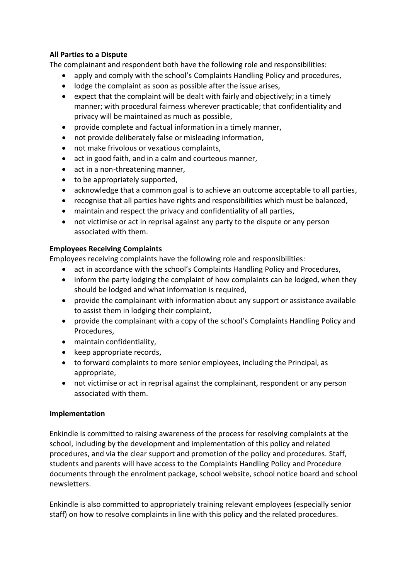# **All Parties to a Dispute**

The complainant and respondent both have the following role and responsibilities:

- apply and comply with the school's Complaints Handling Policy and procedures,
- lodge the complaint as soon as possible after the issue arises,
- expect that the complaint will be dealt with fairly and objectively; in a timely manner; with procedural fairness wherever practicable; that confidentiality and privacy will be maintained as much as possible,
- provide complete and factual information in a timely manner,
- not provide deliberately false or misleading information,
- not make frivolous or vexatious complaints,
- act in good faith, and in a calm and courteous manner,
- act in a non-threatening manner,
- to be appropriately supported,
- acknowledge that a common goal is to achieve an outcome acceptable to all parties,
- recognise that all parties have rights and responsibilities which must be balanced,
- maintain and respect the privacy and confidentiality of all parties,
- not victimise or act in reprisal against any party to the dispute or any person associated with them.

## **Employees Receiving Complaints**

Employees receiving complaints have the following role and responsibilities:

- act in accordance with the school's Complaints Handling Policy and Procedures,
- inform the party lodging the complaint of how complaints can be lodged, when they should be lodged and what information is required,
- provide the complainant with information about any support or assistance available to assist them in lodging their complaint,
- provide the complainant with a copy of the school's Complaints Handling Policy and Procedures,
- maintain confidentiality,
- keep appropriate records,
- to forward complaints to more senior employees, including the Principal, as appropriate,
- not victimise or act in reprisal against the complainant, respondent or any person associated with them.

## **Implementation**

Enkindle is committed to raising awareness of the process for resolving complaints at the school, including by the development and implementation of this policy and related procedures, and via the clear support and promotion of the policy and procedures. Staff, students and parents will have access to the Complaints Handling Policy and Procedure documents through the enrolment package, school website, school notice board and school newsletters.

Enkindle is also committed to appropriately training relevant employees (especially senior staff) on how to resolve complaints in line with this policy and the related procedures.